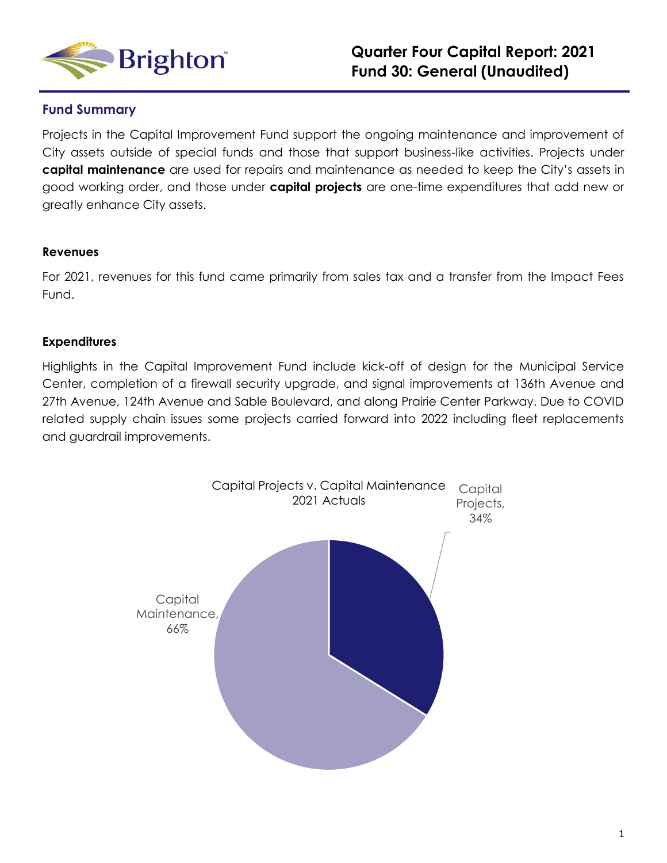

### **Fund Summary**

Projects in the Capital Improvement Fund support the ongoing maintenance and improvement of City assets outside of special funds and those that support business-like activities. Projects under **capital maintenance** are used for repairs and maintenance as needed to keep the City's assets in good working order, and those under **capital projects** are one-time expenditures that add new or greatly enhance City assets.

### **Revenues**

For 2021, revenues for this fund came primarily from sales tax and a transfer from the Impact Fees Fund.

### **Expenditures**

Highlights in the Capital Improvement Fund include kick-off of design for the Municipal Service Center, completion of a firewall security upgrade, and signal improvements at 136th Avenue and 27th Avenue, 124th Avenue and Sable Boulevard, and along Prairie Center Parkway. Due to COVID related supply chain issues some projects carried forward into 2022 including fleet replacements and guardrail improvements.

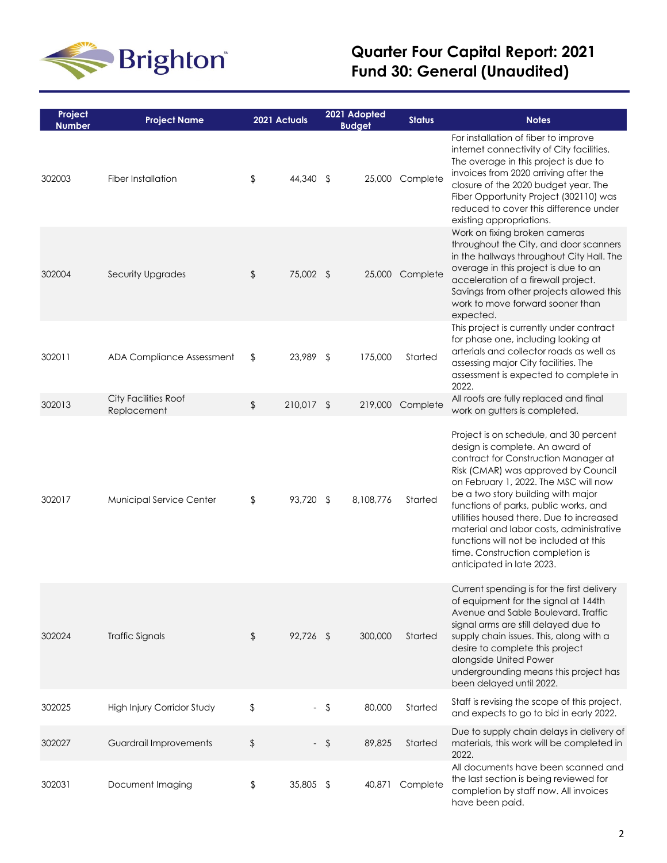

# **Quarter Four Capital Report: 2021 Fund 30: General (Unaudited)**

| Project<br><b>Number</b> | <b>Project Name</b>                 | 2021 Actuals     |               | 2021 Adopted<br><b>Budget</b> | <b>Status</b>    | <b>Notes</b>                                                                                                                                                                                                                                                                                                                                                                                                                                                                        |
|--------------------------|-------------------------------------|------------------|---------------|-------------------------------|------------------|-------------------------------------------------------------------------------------------------------------------------------------------------------------------------------------------------------------------------------------------------------------------------------------------------------------------------------------------------------------------------------------------------------------------------------------------------------------------------------------|
| 302003                   | Fiber Installation                  | \$<br>44,340     | \$            | 25,000                        | Complete         | For installation of fiber to improve<br>internet connectivity of City facilities.<br>The overage in this project is due to<br>invoices from 2020 arriving after the<br>closure of the 2020 budget year. The<br>Fiber Opportunity Project (302110) was<br>reduced to cover this difference under<br>existing appropriations.                                                                                                                                                         |
| 302004                   | Security Upgrades                   | \$<br>75,002 \$  |               |                               | 25,000 Complete  | Work on fixing broken cameras<br>throughout the City, and door scanners<br>in the hallways throughout City Hall. The<br>overage in this project is due to an<br>acceleration of a firewall project.<br>Savings from other projects allowed this<br>work to move forward sooner than<br>expected.                                                                                                                                                                                    |
| 302011                   | ADA Compliance Assessment           | \$<br>23,989     | $\sqrt[4]{2}$ | 175,000                       | Started          | This project is currently under contract<br>for phase one, including looking at<br>arterials and collector roads as well as<br>assessing major City facilities. The<br>assessment is expected to complete in<br>2022.                                                                                                                                                                                                                                                               |
| 302013                   | City Facilities Roof<br>Replacement | \$<br>210,017 \$ |               |                               | 219,000 Complete | All roofs are fully replaced and final<br>work on gutters is completed.                                                                                                                                                                                                                                                                                                                                                                                                             |
| 302017                   | Municipal Service Center            | \$<br>93,720 \$  |               | 8,108,776                     | Started          | Project is on schedule, and 30 percent<br>design is complete. An award of<br>contract for Construction Manager at<br>Risk (CMAR) was approved by Council<br>on February 1, 2022. The MSC will now<br>be a two story building with major<br>functions of parks, public works, and<br>utilities housed there. Due to increased<br>material and labor costs, administrative<br>functions will not be included at this<br>time. Construction completion is<br>anticipated in late 2023. |
| 302024                   | <b>Traffic Signals</b>              | \$<br>92,726 \$  |               | 300,000                       | Started          | Current spending is for the first delivery<br>of equipment for the signal at 144th<br>Avenue and Sable Boulevard. Traffic<br>signal arms are still delayed due to<br>supply chain issues. This, along with a<br>desire to complete this project<br>alongside United Power<br>undergrounding means this project has<br>been delayed until 2022.                                                                                                                                      |
| 302025                   | High Injury Corridor Study          | \$               | \$            | 80,000                        | Started          | Staff is revising the scope of this project,<br>and expects to go to bid in early 2022.                                                                                                                                                                                                                                                                                                                                                                                             |
| 302027                   | Guardrail Improvements              | \$<br>$\sim$     | $\sqrt{2}$    | 89,825                        | Started          | Due to supply chain delays in delivery of<br>materials, this work will be completed in<br>2022.                                                                                                                                                                                                                                                                                                                                                                                     |
| 302031                   | Document Imaging                    | \$<br>35,805 \$  |               | 40,871                        | Complete         | All documents have been scanned and<br>the last section is being reviewed for<br>completion by staff now. All invoices<br>have been paid.                                                                                                                                                                                                                                                                                                                                           |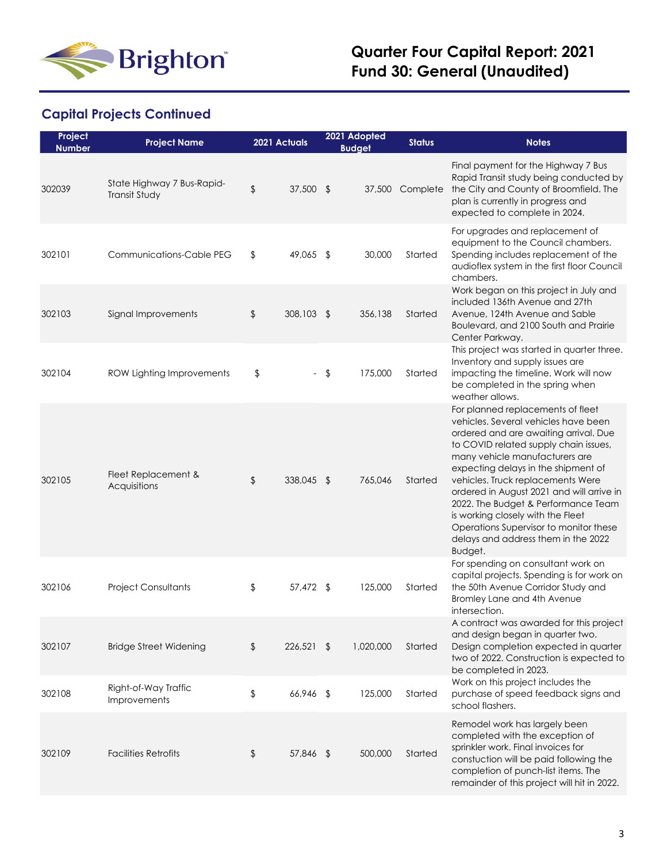

## **Capital Projects Continued**

| Project<br><b>Number</b> | <b>Project Name</b>                         |               | 2021 Actuals             |               | 2021 Adopted<br><b>Budget</b> | <b>Status</b> | <b>Notes</b>                                                                                                                                                                                                                                                                                                                                                                                                                                                                                   |
|--------------------------|---------------------------------------------|---------------|--------------------------|---------------|-------------------------------|---------------|------------------------------------------------------------------------------------------------------------------------------------------------------------------------------------------------------------------------------------------------------------------------------------------------------------------------------------------------------------------------------------------------------------------------------------------------------------------------------------------------|
| 302039                   | State Highway 7 Bus-Rapid-<br>Transit Study | $\frac{1}{2}$ | 37,500 \$                |               | 37,500                        | Complete      | Final payment for the Highway 7 Bus<br>Rapid Transit study being conducted by<br>the City and County of Broomfield. The<br>plan is currently in progress and<br>expected to complete in 2024.                                                                                                                                                                                                                                                                                                  |
| 302101                   | <b>Communications-Cable PEG</b>             | \$            | 49,065 \$                |               | 30,000                        | Started       | For upgrades and replacement of<br>equipment to the Council chambers.<br>Spending includes replacement of the<br>audioflex system in the first floor Council<br>chambers.                                                                                                                                                                                                                                                                                                                      |
| 302103                   | Signal Improvements                         | \$            | 308,103 \$               |               | 356,138                       | Started       | Work began on this project in July and<br>included 136th Avenue and 27th<br>Avenue, 124th Avenue and Sable<br>Boulevard, and 2100 South and Prairie<br>Center Parkway.                                                                                                                                                                                                                                                                                                                         |
| 302104                   | ROW Lighting Improvements                   | \$            | $\overline{\phantom{0}}$ | $\sqrt[6]{2}$ | 175,000                       | Started       | This project was started in quarter three.<br>Inventory and supply issues are<br>impacting the timeline. Work will now<br>be completed in the spring when<br>weather allows.                                                                                                                                                                                                                                                                                                                   |
| 302105                   | Fleet Replacement &<br>Acquisitions         | $\frac{1}{2}$ | 338,045 \$               |               | 765,046                       | Started       | For planned replacements of fleet<br>vehicles. Several vehicles have been<br>ordered and are awaiting arrival. Due<br>to COVID related supply chain issues,<br>many vehicle manufacturers are<br>expecting delays in the shipment of<br>vehicles. Truck replacements Were<br>ordered in August 2021 and will arrive in<br>2022. The Budget & Performance Team<br>is working closely with the Fleet<br>Operations Supervisor to monitor these<br>delays and address them in the 2022<br>Budget. |
| 302106                   | <b>Project Consultants</b>                  | \$            | 57,472 \$                |               | 125,000                       | Started       | For spending on consultant work on<br>capital projects. Spending is for work on<br>the 50th Avenue Corridor Study and<br>Bromley Lane and 4th Avenue<br>intersection.                                                                                                                                                                                                                                                                                                                          |
| 302107                   | <b>Bridge Street Widening</b>               | \$            | 226,521 \$               |               | 1,020,000                     | Started       | A contract was awarded for this project<br>and design began in quarter two.<br>Design completion expected in quarter<br>two of 2022. Construction is expected to<br>be completed in 2023.                                                                                                                                                                                                                                                                                                      |
| 302108                   | Right-of-Way Traffic<br><b>Improvements</b> | \$            | 66,946 \$                |               | 125,000                       | Started       | Work on this project includes the<br>purchase of speed feedback signs and<br>school flashers.                                                                                                                                                                                                                                                                                                                                                                                                  |
| 302109                   | <b>Facilities Retrofits</b>                 | \$            | 57,846 \$                |               | 500,000                       | Started       | Remodel work has largely been<br>completed with the exception of<br>sprinkler work. Final invoices for<br>constuction will be paid following the<br>completion of punch-list items. The<br>remainder of this project will hit in 2022.                                                                                                                                                                                                                                                         |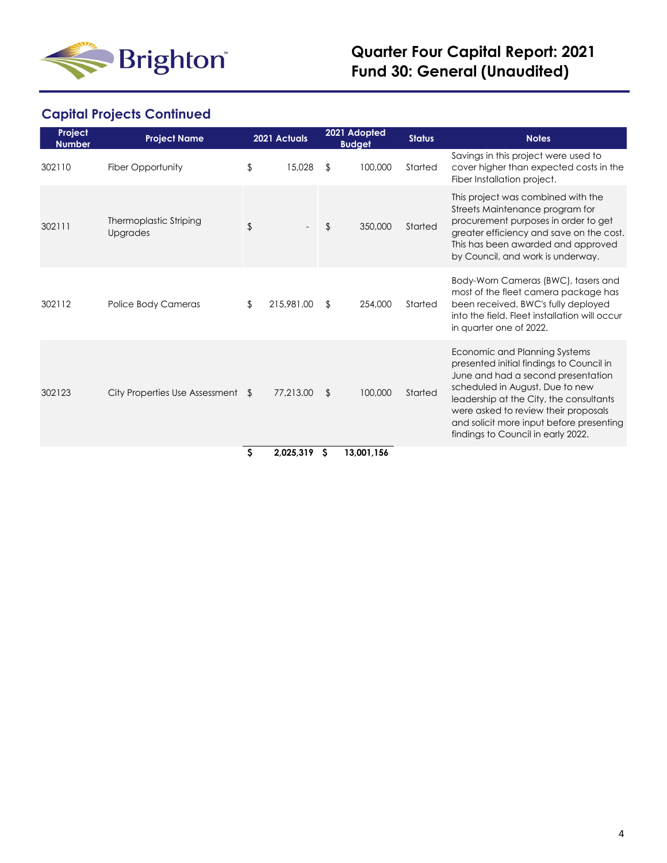

# **Quarter Four Capital Report: 2021 Fund 30: General (Unaudited)**

## **Capital Projects Continued**

| Project<br><b>Number</b> | <b>Project Name</b>                       |    | 2021 Actuals |     | 2021 Adopted<br><b>Budget</b> | <b>Status</b> | <b>Notes</b>                                                                                                                                                                                                                                                                                                            |
|--------------------------|-------------------------------------------|----|--------------|-----|-------------------------------|---------------|-------------------------------------------------------------------------------------------------------------------------------------------------------------------------------------------------------------------------------------------------------------------------------------------------------------------------|
| 302110                   | Fiber Opportunity                         | \$ | 15,028       | \$  | 100,000                       | Started       | Savings in this project were used to<br>cover higher than expected costs in the<br>Fiber Installation project.                                                                                                                                                                                                          |
| 302111                   | Thermoplastic Striping<br><b>Upgrades</b> | \$ |              | \$  | 350,000                       | Started       | This project was combined with the<br>Streets Maintenance program for<br>procurement purposes in order to get<br>greater efficiency and save on the cost.<br>This has been awarded and approved<br>by Council, and work is underway.                                                                                    |
| 302112                   | Police Body Cameras                       | \$ | 215,981.00   | \$  | 254,000                       | Started       | Body-Worn Cameras (BWC), tasers and<br>most of the fleet camera package has<br>been received. BWC's fully deployed<br>into the field. Fleet installation will occur<br>in quarter one of 2022.                                                                                                                          |
| 302123                   | City Properties Use Assessment \$         |    | 77,213.00    | \$. | 100,000                       | Started       | Economic and Planning Systems<br>presented initial findings to Council in<br>June and had a second presentation<br>scheduled in August. Due to new<br>leadership at the City, the consultants<br>were asked to review their proposals<br>and solicit more input before presenting<br>findings to Council in early 2022. |
|                          |                                           | ¢. | 2025319      | \$  | 13 001 154                    |               |                                                                                                                                                                                                                                                                                                                         |

 **\$ 2,025,319 \$ 13,001,156**